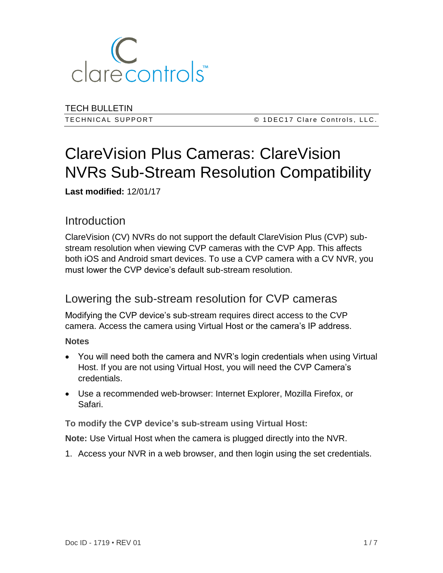

TECH BULLETIN

T E C H N I C A L S U P P O R T © 1 D E C 1 7 C l a r e C o n t r o l s , L L C .

## ClareVision Plus Cameras: ClareVision NVRs Sub-Stream Resolution Compatibility

**Last modified:** 12/01/17

## Introduction

ClareVision (CV) NVRs do not support the default ClareVision Plus (CVP) substream resolution when viewing CVP cameras with the CVP App. This affects both iOS and Android smart devices. To use a CVP camera with a CV NVR, you must lower the CVP device's default sub-stream resolution.

## Lowering the sub-stream resolution for CVP cameras

Modifying the CVP device's sub-stream requires direct access to the CVP camera. Access the camera using Virtual Host or the camera's IP address.

**Notes**

- You will need both the camera and NVR's login credentials when using Virtual Host. If you are not using Virtual Host, you will need the CVP Camera's credentials.
- Use a recommended web-browser: Internet Explorer, Mozilla Firefox, or Safari.

**To modify the CVP device's sub-stream using Virtual Host:** 

**Note:** Use Virtual Host when the camera is plugged directly into the NVR.

1. Access your NVR in a web browser, and then login using the set credentials.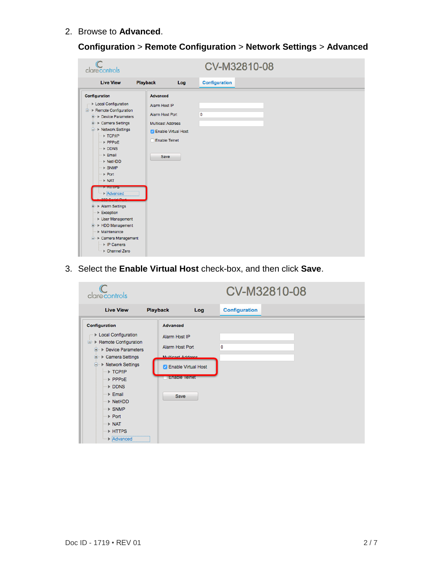2. Browse to **Advanced**.

|  | <b>Configuration &gt; Remote Configuration &gt; Network Settings &gt; Advanced</b> |  |
|--|------------------------------------------------------------------------------------|--|
|  |                                                                                    |  |

| clarecontrols                                                                                                                                                                                                                                                                                                                                                                                                                                                                                                                                                                        |                                                                                                                                                        | CV-M32810-08         |
|--------------------------------------------------------------------------------------------------------------------------------------------------------------------------------------------------------------------------------------------------------------------------------------------------------------------------------------------------------------------------------------------------------------------------------------------------------------------------------------------------------------------------------------------------------------------------------------|--------------------------------------------------------------------------------------------------------------------------------------------------------|----------------------|
| <b>Live View</b>                                                                                                                                                                                                                                                                                                                                                                                                                                                                                                                                                                     | <b>Playback</b><br>Log                                                                                                                                 | <b>Configuration</b> |
| Configuration<br>▶ Local Configuration<br><sup>⇒</sup> Remote Configuration<br><b>E</b> Device Parameters<br><b>E</b> > Camera Settings<br><b>E</b> > Network Settings<br>▶ TCP/IP<br>$\triangleright$ PPPoE<br>DDNS<br>$E$ mail<br>$\triangleright$ NetHDD<br>$\triangleright$ SNMP<br>$\triangleright$ Port<br>$\triangleright$ NAT<br><b>ENTIFS</b><br>$\triangleright$ Advanced<br>000 Certai Devi<br><b>E</b> Alarm Settings<br>$\triangleright$ Exception<br>▶ User Management<br>+ HDD Management<br>$M$ aintenance<br>□ ▶ Camera Management<br>▶ IP Camera<br>▶ Channel Zero | <b>Advanced</b><br>Alarm Host IP<br><b>Alarm Host Port</b><br><b>Multicast Address</b><br><b>Z</b> Enable Virtual Host<br><b>Enable Telnet</b><br>Save | 0                    |

3. Select the **Enable Virtual Host** check-box, and then click **Save**.

| clarecontrols                                                                                                                                                                                                                                                                                                                                   |                                                                                                                                                    |     | CV-M32810-08         |  |
|-------------------------------------------------------------------------------------------------------------------------------------------------------------------------------------------------------------------------------------------------------------------------------------------------------------------------------------------------|----------------------------------------------------------------------------------------------------------------------------------------------------|-----|----------------------|--|
| <b>Live View</b>                                                                                                                                                                                                                                                                                                                                | <b>Playback</b>                                                                                                                                    | Log | <b>Configuration</b> |  |
| <b>Configuration</b><br>Local Configuration<br>□ Remote Configuration<br>▶ Device Parameters<br>由<br>▶ Camera Settings<br>$\blacksquare$<br>▶ Network Settings<br>≘<br>▶ TCP/IP<br>PPPoE<br>$\triangleright$ DDNS<br>$E$ Email<br>▶ NetHDD<br>$>$ SNMP<br>$\triangleright$ Port<br>$\triangleright$ NAT<br>▶ HTTPS<br>$\triangleright$ Advanced | <b>Advanced</b><br>Alarm Host IP<br><b>Alarm Host Port</b><br>Multipact Address<br><b>Enable Virtual Host</b><br>J<br><b>Enable leinet</b><br>Save | 0   |                      |  |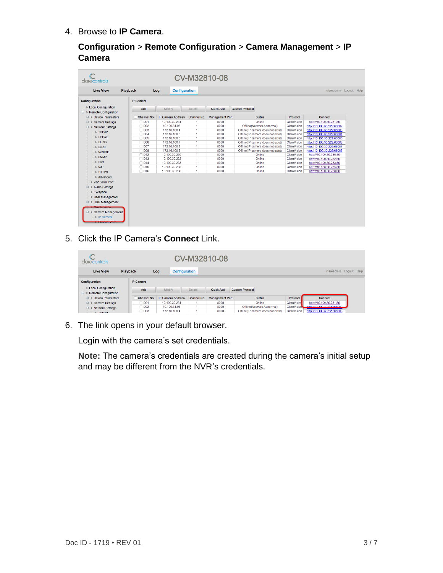4. Browse to **IP Camera**.

**Configuration** > **Remote Configuration** > **Camera Management** > **IP Camera**

| clarecontrols                                             |                          |                                |                                | CV-M32810-08           |                                   |                            |                                                    |                        |
|-----------------------------------------------------------|--------------------------|--------------------------------|--------------------------------|------------------------|-----------------------------------|----------------------------|----------------------------------------------------|------------------------|
| <b>Live View</b>                                          | <b>Playback</b>          | <b>Configuration</b><br>Log    |                                |                        |                                   |                            |                                                    | clareadmin Logout Help |
| Configuration                                             | <b>IP Camera</b>         |                                |                                |                        |                                   |                            |                                                    |                        |
| ▶ Local Configuration<br><b>E-</b> ▶ Remote Configuration | Add                      | Modify                         | <b>Delete</b>                  | Quick Add              | <b>Custom Protocol</b>            |                            |                                                    |                        |
| <b>E</b> Device Parameters                                | Channel No.              | <b>IP Camera Address</b>       | Channel No.                    | <b>Management Port</b> | <b>Status</b>                     | Protocol                   | Connect                                            |                        |
| E Camera Settings                                         | <b>D01</b>               | 10.100.30.231                  |                                | 8000                   | Online                            | ClareVision                | http://10.100.30.231:80                            |                        |
| <b>E</b> ▶ Network Settings                               | <b>D02</b>               | 10.100.31.93                   | $\mathbf{1}$                   | 8000                   | Offline(Network Abnormal)         | ClareVision                | http://10.100.30.229:65002                         |                        |
| $\triangleright$ TCP/IP                                   | <b>D03</b>               | 172.16.100.4                   | $\blacksquare$                 | 8000                   | Offline(IP camera does not exist) | ClareVision                | http://10.100.30.229:65003                         |                        |
| PPPoE                                                     | <b>D04</b>               | 172.16.100.5                   | 1                              | 8000                   | Offline(IP camera does not exist) | ClareVision                | http://10.100.30.229:65004                         |                        |
|                                                           | <b>D05</b>               | 172.16.100.6                   | $\mathbf{1}$                   | 8000                   | Offline(IP camera does not exist) | ClareVision                | http://10.100.30.229:65005                         |                        |
| DDNS                                                      | D <sub>06</sub>          | 172.16.100.7                   | 1                              | 8000                   | Offline(IP camera does not exist) | ClareVision                | http://10.100.30.229:65006                         |                        |
| ▶ Email                                                   | <b>D07</b>               | 172.16.100.8                   | $\overline{1}$                 | 8000                   | Offline(IP camera does not exist) | ClareVision                | http://10.100.30.229:65007                         |                        |
| > NetHDD                                                  | D <sub>08</sub>          | 172.16.100.3                   | $\mathbf{1}$<br>$\blacksquare$ | 8000                   | Offline(IP camera does not exist) | ClareVision                | http://10.100.30.229:65008                         |                        |
| <b>&gt; SNMP</b>                                          | $\Box$ D12<br>$\Box$ D13 | 10.100.30.230<br>10.100.30.232 | $\blacksquare$                 | 8000<br>8000           | Online<br>Online                  | ClareVision<br>ClareVision | http://10.100.30.230:80                            |                        |
| $\triangleright$ Port                                     | $\n  D14\n$              | 10.100.30.233                  | $\mathbf{1}$                   | 8000                   | Online                            | ClareVision                | http://10.100.30.232:80<br>http://10.100.30.233:80 |                        |
| $\triangleright$ NAT                                      | $\Box$ D15               | 10.100.30.235                  | $\blacksquare$                 | 8000                   | Online                            | ClareVision                | http://10.100.30.235:80                            |                        |
|                                                           | $\Box$ D16               | 10.100.30.238                  | $\overline{1}$                 | 8000                   | Online                            | ClareVision                | http://10.100.30.238:80                            |                        |
| <b>FHTTPS</b>                                             |                          |                                |                                |                        |                                   |                            |                                                    |                        |
| Advanced                                                  |                          |                                |                                |                        |                                   |                            |                                                    |                        |
| ▶ 232 Serial Port                                         |                          |                                |                                |                        |                                   |                            |                                                    |                        |
| <b>E</b> Alarm Settings                                   |                          |                                |                                |                        |                                   |                            |                                                    |                        |
| $\triangleright$ Exception                                |                          |                                |                                |                        |                                   |                            |                                                    |                        |
| ▶ User Management                                         |                          |                                |                                |                        |                                   |                            |                                                    |                        |
| <b>E</b> ▶ HDD Management                                 |                          |                                |                                |                        |                                   |                            |                                                    |                        |
|                                                           |                          |                                |                                |                        |                                   |                            |                                                    |                        |
| <sup>∈</sup> > Camera Management<br>▶ IP Camera           |                          |                                |                                |                        |                                   |                            |                                                    |                        |

5. Click the IP Camera's **Connect** Link.

| clarecontrols                                             | CV-M32810-08                  |                              |               |                        |                                                                |                            |                                                                  |  |
|-----------------------------------------------------------|-------------------------------|------------------------------|---------------|------------------------|----------------------------------------------------------------|----------------------------|------------------------------------------------------------------|--|
| <b>Playback</b><br><b>Live View</b>                       |                               | <b>Configuration</b><br>Log  |               |                        |                                                                |                            | clareadmin Logout Help                                           |  |
| Configuration                                             | <b>IP Camera</b>              |                              |               |                        |                                                                |                            |                                                                  |  |
| > Local Configuration<br><b>Remote Configuration</b><br>e | Add                           | Modify                       | <b>Delete</b> | Quick Add              | <b>Custom Protocol</b>                                         |                            |                                                                  |  |
| ⊕ Device Parameters<br>œ.                                 | Channel No.                   | <b>IP Camera Address</b>     | Channel No.   | <b>Management Port</b> | <b>Status</b>                                                  | Protocol                   | Connect                                                          |  |
| Camera Settings<br>œ                                      | D <sub>01</sub>               | 10.100.30.231                |               | 8000                   | Online                                                         | ClareVision                | http://10.100.30.231:80                                          |  |
| ▶ Network Settings<br>⊟<br>$E$ TOP/IP                     | D <sub>02</sub><br><b>D03</b> | 10.100.31.93<br>172.16.100.4 |               | 8000<br>8000           | Offline(Network Abnormal)<br>Offline(IP camera does not exist) | ClareVision<br>ClareVision | <b><i>HAD ADD DD DDD-PEDDD</i></b><br>http://10.100.30.229:65003 |  |

6. The link opens in your default browser.

Login with the camera's set credentials.

**Note:** The camera's credentials are created during the camera's initial setup and may be different from the NVR's credentials.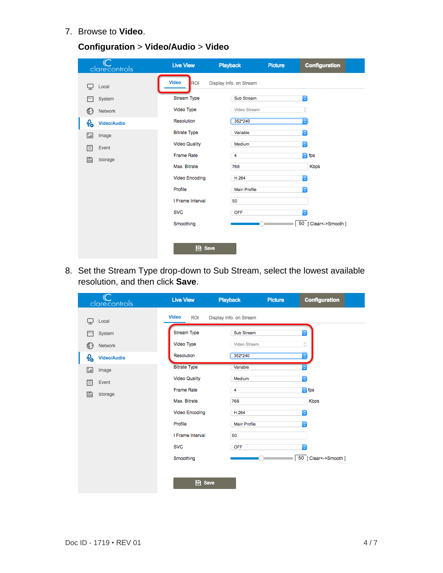7. Browse to **Video**.

| clarecontrols           | <b>Live View</b>           | Playback                | Picture | <b>Configuration</b> |
|-------------------------|----------------------------|-------------------------|---------|----------------------|
| Local                   | <b>Video</b><br><b>ROI</b> | Display Info. on Stream |         |                      |
| System                  | Stream Type                | <b>Sub Stream</b>       |         | $ \hat{\mathbf{c}} $ |
| Network<br>63           | Video Type                 | <b>Video Stream</b>     |         | ¢,                   |
| ♧<br><b>Video/Audio</b> | Resolution                 | 352*240                 |         | $\ddot{\circ}$       |
| $\Delta$<br>Image       | <b>Bitrate Type</b>        | Variable                |         | $ \mathbb{C} $       |
| 眉<br>Event              | <b>Video Quality</b>       | Medium                  |         | ा                    |
| 圕<br>Storage            | <b>Frame Rate</b>          | 4                       |         | $\circ$ fps          |
|                         | Max. Bitrate               | 768                     |         | <b>Kbps</b>          |
|                         | <b>Video Encoding</b>      | H.264                   |         | $\mathbb{C}$         |
|                         | Profile                    | <b>Main Profile</b>     |         | ¢                    |
|                         | I Frame Interval           | 50                      |         |                      |
|                         | <b>SVC</b>                 | OFF                     |         | õ                    |
|                         | Smoothing                  |                         |         | 50 [Clear<->Smooth]  |
|                         |                            |                         |         |                      |
|                         | <b>B</b> Save              |                         |         |                      |

8. Set the Stream Type drop-down to Sub Stream, select the lowest available resolution, and then click **Save**.

| clarecontrols           | <b>Live View</b>           | Playback                | Picture | Configuration        |
|-------------------------|----------------------------|-------------------------|---------|----------------------|
| Local                   | <b>Video</b><br><b>ROI</b> | Display Info. on Stream |         |                      |
| System                  | Stream Type                | Sub Stream              |         | $\bullet$            |
| Network<br>63           | Video Type                 | Video Stream            |         | ¢,                   |
| ♧<br><b>Video/Audio</b> | Resolution                 | 352*240                 |         | ¢                    |
| $\mathbf{L}$<br>Image   | <b>Bitrate Type</b>        | Variable                |         |                      |
| 圁<br>Event              | <b>Video Quality</b>       | Medium                  |         | $ \mathbf{c} $       |
| B<br>Storage            | <b>Frame Rate</b>          | 4                       |         | $\circ$ fps          |
|                         | Max. Bitrate               | 768                     |         | <b>Kbps</b>          |
|                         | <b>Video Encoding</b>      | H.264                   |         | $ \hat{\bm{z}} $     |
|                         | Profile                    | Main Profile            |         | IC.                  |
|                         | I Frame Interval           | 50                      |         |                      |
|                         | <b>SVC</b>                 | OFF                     |         | õ                    |
|                         | Smoothing                  |                         |         | 50 [Clear<->Smooth ] |
|                         |                            |                         |         |                      |
|                         | <b>日</b> Save              |                         |         |                      |
|                         |                            |                         |         |                      |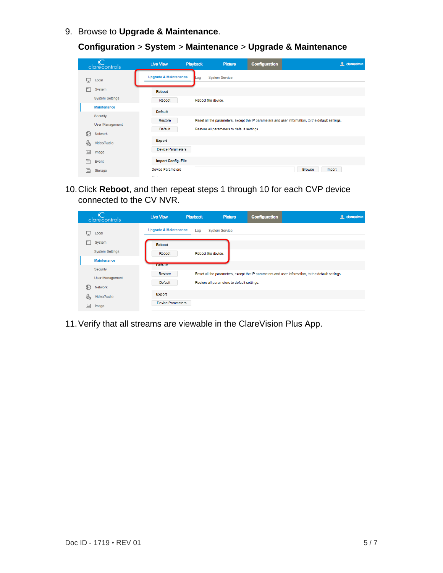9. Browse to **Upgrade & Maintenance**.

**Configuration** > **System** > **Maintenance** > **Upgrade & Maintenance**

|          | clarecontrols          | <b>Live View</b>                 | Playback | Picture                                     | <b>Configuration</b>                                                                              |                                | <b>f</b> clareadmin |
|----------|------------------------|----------------------------------|----------|---------------------------------------------|---------------------------------------------------------------------------------------------------|--------------------------------|---------------------|
| ↳        | Local                  | <b>Upgrade &amp; Maintenance</b> | Log      | <b>System Service</b>                       |                                                                                                   |                                |                     |
|          | System                 | Reboot                           |          |                                             |                                                                                                   |                                |                     |
|          | <b>System Settings</b> | Reboot                           |          | Reboot the device.                          |                                                                                                   |                                |                     |
|          | <b>Maintenance</b>     | <b>Default</b>                   |          |                                             |                                                                                                   |                                |                     |
|          | Security               |                                  |          |                                             |                                                                                                   |                                |                     |
|          | <b>User Management</b> | Restore                          |          |                                             | Reset all the parameters, except the IP parameters and user information, to the default settings. |                                |                     |
| €        | Network                | Default                          |          | Restore all parameters to default settings. |                                                                                                   |                                |                     |
| Q.       | Video/Audio            | <b>Export</b>                    |          |                                             |                                                                                                   |                                |                     |
| <b>A</b> | Image                  | <b>Device Parameters</b>         |          |                                             |                                                                                                   |                                |                     |
| 償        | Event                  | <b>Import Config. File</b>       |          |                                             |                                                                                                   |                                |                     |
| G        | Storage                | <b>Device Parameters</b>         |          |                                             |                                                                                                   | <b>Browse</b><br><b>Import</b> |                     |

10.Click **Reboot**, and then repeat steps 1 through 10 for each CVP device connected to the CV NVR.

|              | clarecontrols          | <b>Live View</b>                 | Playback           | Picture                                     | <b>Configuration</b> | <b>f</b> clareadmin                                                                               |
|--------------|------------------------|----------------------------------|--------------------|---------------------------------------------|----------------------|---------------------------------------------------------------------------------------------------|
| پ            | Local                  | <b>Upgrade &amp; Maintenance</b> | Log                | <b>System Service</b>                       |                      |                                                                                                   |
|              | System                 | <b>Reboot</b>                    |                    |                                             |                      |                                                                                                   |
|              | <b>System Settings</b> | Reboot                           | Reboot the device. |                                             |                      |                                                                                                   |
|              | <b>Maintenance</b>     |                                  |                    |                                             |                      |                                                                                                   |
|              | Security               | <b>Default</b>                   |                    |                                             |                      |                                                                                                   |
|              | <b>User Management</b> | Restore                          |                    |                                             |                      | Reset all the parameters, except the IP parameters and user information, to the default settings. |
| $\odot$      | Network                | Default                          |                    | Restore all parameters to default settings. |                      |                                                                                                   |
| $Q_{\alpha}$ | Video/Audio            | <b>Export</b>                    |                    |                                             |                      |                                                                                                   |
| اعذا         | Image                  | <b>Device Parameters</b>         |                    |                                             |                      |                                                                                                   |

11.Verify that all streams are viewable in the ClareVision Plus App.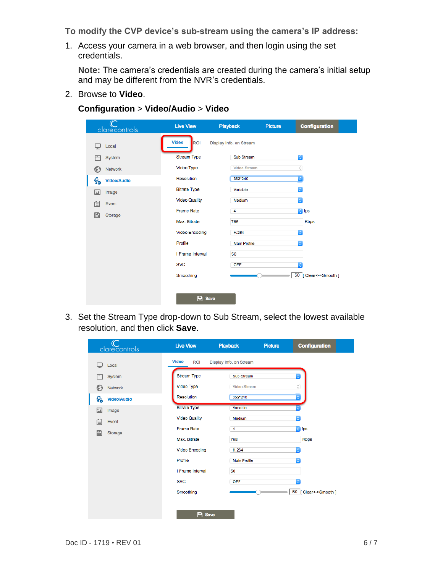**To modify the CVP device's sub-stream using the camera's IP address:** 

1. Access your camera in a web browser, and then login using the set credentials.

**Note:** The camera's credentials are created during the camera's initial setup and may be different from the NVR's credentials.

2. Browse to **Video**.

**Configuration** > **Video/Audio** > **Video**

| clarecontrols                | <b>Live View</b>      | <b>Playback</b>         | Picture | <b>Configuration</b> |
|------------------------------|-----------------------|-------------------------|---------|----------------------|
| Local                        | <b>Video</b><br>ROI   | Display Info. on Stream |         |                      |
| System                       | <b>Stream Type</b>    | Sub Stream              |         | $ \hat{\cdot} $      |
| <b>Network</b><br>63         | Video Type            | <b>Video Stream</b>     |         | ¢,                   |
| Q,<br><b>Video/Audio</b>     | Resolution            | 352*240                 |         | $\ddot{\circ}$       |
| $^{\circ}$ $\Delta$<br>Image | <b>Bitrate Type</b>   | Variable                |         | $\hat{\mathbf{v}}$   |
| 償<br>Event                   | <b>Video Quality</b>  | Medium                  |         | $\hat{\mathbf{c}}$   |
| E<br>Storage                 | <b>Frame Rate</b>     | 4                       |         | $\circ$ fps          |
|                              | Max. Bitrate          | 768                     |         | <b>Kbps</b>          |
|                              | <b>Video Encoding</b> | H.264                   |         | $\hat{\mathbf{c}}$   |
|                              | Profile               | <b>Main Profile</b>     |         | ¢                    |
|                              | I Frame Interval      | 50                      |         |                      |
|                              | <b>SVC</b>            | OFF                     |         | ¢                    |
|                              | Smoothing             |                         |         | 50 [Clear<->Smooth]  |
|                              |                       |                         |         |                      |
|                              | <b>B</b> Save         |                         |         |                      |

3. Set the Stream Type drop-down to Sub Stream, select the lowest available resolution, and then click **Save**.

| clarecontrols           | <b>Live View</b>           | <b>Playback</b>         | Picture<br><b>Configuration</b> |
|-------------------------|----------------------------|-------------------------|---------------------------------|
| Local                   | <b>Video</b><br><b>ROI</b> | Display Info. on Stream |                                 |
| System                  | Stream Type                | Sub Stream              | ¢                               |
| Network<br>63           | Video Type                 | <b>Video Stream</b>     | $\hat{\phantom{a}}$             |
| ♧<br><b>Video/Audio</b> | Resolution                 | 352*240                 | ¢                               |
| $\sqrt{2}$<br>Image     | <b>Bitrate Type</b>        | Variable                |                                 |
| 償<br>Event              | <b>Video Quality</b>       | Medium                  | ¢                               |
| E<br>Storage            | <b>Frame Rate</b>          | 4                       | $\circ$ fps                     |
|                         | Max. Bitrate               | 768                     | <b>Kbps</b>                     |
|                         | <b>Video Encoding</b>      | H.264                   | $\ddot{\circ}$                  |
|                         | Profile                    | <b>Main Profile</b>     | ¢                               |
|                         | I Frame Interval           | 50                      |                                 |
|                         | <b>SVC</b>                 | OFF                     | ¢                               |
|                         | Smoothing                  |                         | 50 [Clear<->Smooth]             |
|                         |                            |                         |                                 |
|                         | <b>B</b> Save              |                         |                                 |